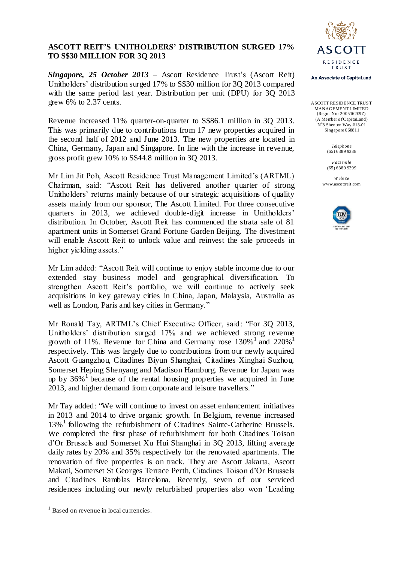## **ASCOTT REIT'S UNITHOLDERS' DISTRIBUTION SURGED 17% TO S\$30 MILLION FOR 3Q 2013**

*Singapore, 25 October 2013* – Ascott Residence Trust's (Ascott Reit) Unitholders' distribution surged 17% to S\$30 million for 3Q 2013 compared with the same period last year. Distribution per unit (DPU) for 3Q 2013 grew 6% to 2.37 cents.

Revenue increased 11% quarter-on-quarter to S\$86.1 million in 3Q 2013. This was primarily due to contributions from 17 new properties acquired in the second half of 2012 and June 2013. The new properties are located in China, Germany, Japan and Singapore. In line with the increase in revenue, gross profit grew 10% to S\$44.8 million in 3Q 2013.

Mr Lim Jit Poh, Ascott Residence Trust Management Limited's (ARTML) Chairman, said: "Ascott Reit has delivered another quarter of strong Unitholders' returns mainly because of our strategic acquisitions of quality assets mainly from our sponsor, The Ascott Limited. For three consecutive quarters in 2013, we achieved double-digit increase in Unitholders' distribution. In October, Ascott Reit has commenced the strata sale of 81 apartment units in Somerset Grand Fortune Garden Beijing. The divestment will enable Ascott Reit to unlock value and reinvest the sale proceeds in higher yielding assets."

Mr Lim added: "Ascott Reit will continue to enjoy stable income due to our extended stay business model and geographical diversification. To strengthen Ascott Reit's portfolio, we will continue to actively seek acquisitions in key gateway cities in China, Japan, Malaysia, Australia as well as London, Paris and key cities in Germany."

Mr Ronald Tay, ARTML's Chief Executive Officer, said: "For 3Q 2013, Unitholders' distribution surged 17% and we achieved strong revenue growth of 11%. Revenue for China and Germany rose  $130\%$ <sup>1</sup> and  $220\%$ <sup>1</sup> respectively. This was largely due to contributions from our newly acquired Ascott Guangzhou, Citadines Biyun Shanghai, Citadines Xinghai Suzhou, Somerset Heping Shenyang and Madison Hamburg. Revenue for Japan was up by 36%<sup>1</sup> because of the rental housing properties we acquired in June 2013, and higher demand from corporate and leisure travellers."

Mr Tay added: "We will continue to invest on asset enhancement initiatives in 2013 and 2014 to drive organic growth. In Belgium, revenue increased 13%<sup>1</sup> following the refurbishment of Citadines Sainte-Catherine Brussels. We completed the first phase of refurbishment for both Citadines Toison d'Or Brussels and Somerset Xu Hui Shanghai in 3Q 2013, lifting average daily rates by 20% and 35% respectively for the renovated apartments. The renovation of five properties is on track. They are Ascott Jakarta, Ascott Makati, Somerset St Georges Terrace Perth, Citadines Toison d'Or Brussels and Citadines Ramblas Barcelona. Recently, seven of our serviced residences including our newly refurbished properties also won 'Leading



An Associate of CapitaLand

ASCOTT RESIDENCE TRUST MANAGEMENT LIMITED (Regn. No: 200516209Z) (A Member of CapitaLand) N°8 Shenton Way #13-01 Singapore 068811

> *Telephone* (65) 6389 9388

> *Facsimile* (65) 6389 9399

*W ebsite* www.ascottreit.com



l <sup>1</sup> Based on revenue in local currencies.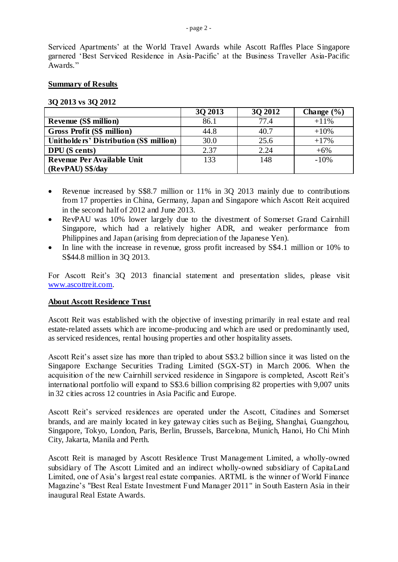Serviced Apartments' at the World Travel Awards while Ascott Raffles Place Singapore garnered 'Best Serviced Residence in Asia-Pacific' at the Business Traveller Asia-Pacific Awards."

#### **Summary of Results**

#### **3Q 2013 vs 3Q 2012**

|                                         | 30 2013 | 30 2012 | Change $(\% )$ |
|-----------------------------------------|---------|---------|----------------|
| <b>Revenue (S\$ million)</b>            | 86.1    | 77.4    | $+11\%$        |
| <b>Gross Profit (S\$ million)</b>       | 44.8    | 40.7    | $+10%$         |
| Unitholders' Distribution (S\$ million) | 30.0    | 25.6    | $+17%$         |
| <b>DPU</b> (S cents)                    | 2.37    | 2.24    | $+6%$          |
| Revenue Per Available Unit              | 133     | 148     | $-10%$         |
| (RevPAU) S\$/day                        |         |         |                |

- Revenue increased by S\$8.7 million or 11% in 30 2013 mainly due to contributions from 17 properties in China, Germany, Japan and Singapore which Ascott Reit acquired in the second half of 2012 and June 2013.
- RevPAU was 10% lower largely due to the divestment of Somerset Grand Cairnhill Singapore, which had a relatively higher ADR, and weaker performance from Philippines and Japan (arising from depreciation of the Japanese Yen).
- In line with the increase in revenue, gross profit increased by S\$4.1 million or 10% to S\$44.8 million in 3Q 2013.

For Ascott Reit's 3Q 2013 financial statement and presentation slides, please visit [www.ascottreit.com.](http://www.ascottreit.com/)

### **About Ascott Residence Trust**

Ascott Reit was established with the objective of investing primarily in real estate and real estate-related assets which are income-producing and which are used or predominantly used, as serviced residences, rental housing properties and other hospitality assets.

Ascott Reit's asset size has more than tripled to about S\$3.2 billion since it was listed on the Singapore Exchange Securities Trading Limited (SGX-ST) in March 2006. When the acquisition of the new Cairnhill serviced residence in Singapore is completed, Ascott Reit's international portfolio will expand to S\$3.6 billion comprising 82 properties with 9,007 units in 32 cities across 12 countries in Asia Pacific and Europe.

Ascott Reit's serviced residences are operated under the Ascott, Citadines and Somerset brands, and are mainly located in key gateway cities such as Beijing, Shanghai, Guangzhou, Singapore, Tokyo, London, Paris, Berlin, Brussels, Barcelona, Munich, Hanoi, Ho Chi Minh City, Jakarta, Manila and Perth.

Ascott Reit is managed by Ascott Residence Trust Management Limited, a wholly-owned subsidiary of The Ascott Limited and an indirect wholly-owned subsidiary of CapitaLand Limited, one of Asia's largest real estate companies. ARTML is the winner of World Finance Magazine's "Best Real Estate Investment Fund Manager 2011" in South Eastern Asia in their inaugural Real Estate Awards.